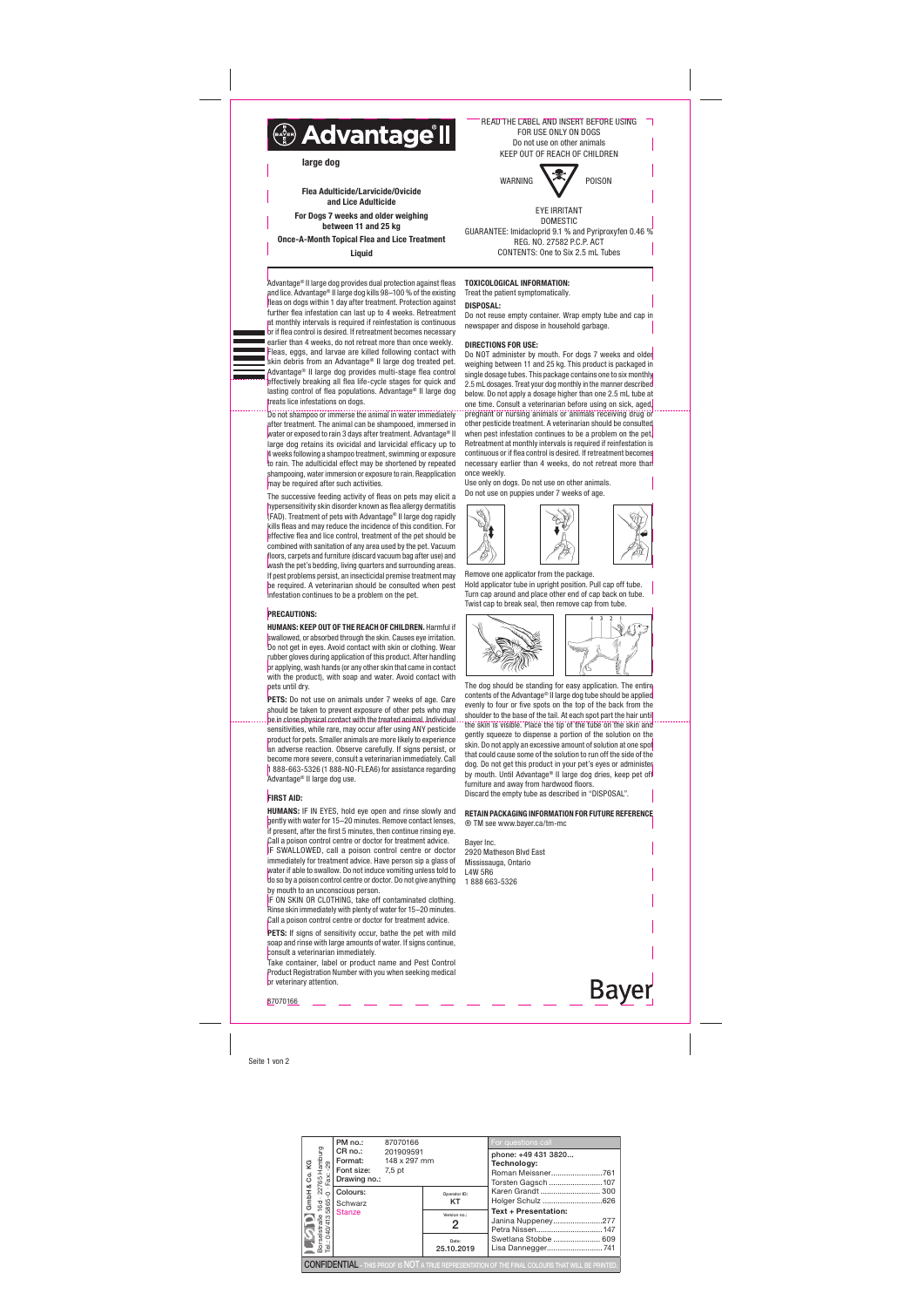Seite 1 von 2

fleas on dogs within 1 day after treatment. Protection against further flea infestation can last up to 4 weeks. Retreatment at monthly intervals is required if reinfestation is continuous





to rain. The adulticidal effect may be shortened by repeated shampooing, water immersion or exposure to rain. Reapplication

may be required after such activities.

PETS: Do not use on animals under 7 weeks of age. Care should be taken to prevent exposure of other pets who may be in close physical contact with the treated animal. Individual sensitivities, while rare, may occur after using ANY pesticide product for pets. Smaller animals are more likely to experience an adverse reaction. Observe carefully. If signs persist, or become more severe, consult a veterinarian immediately. Call 1 888-663-5326 (1 888-NO-FLEA6) for assistance regarding Advantage® II large dog use.

# **FIRST AID:**

hypersensitivity skin disorder known as flea allergy dermatitis (FAD). Treatment of pets with Advantage® II large dog rapidly kills fleas and may reduce the incidence of this condition. For effective flea and lice control, treatment of the pet should be combined with sanitation of any area used by the pet. Vacuum



wash the pet's bedding, living quarters and surrounding areas.

IF ON SKIN OR CLOTHING, take off contaminated clothing. Rinse skin immediately with plenty of water for 15–20 minutes. Call a poison control centre or doctor for treatment advice.

PETS: If signs of sensitivity occur, bathe the pet with mild soap and rinse with large amounts of water. If signs continue, consult a veterinarian immediately.

be required. A veterinarian should be consulted when pest infestation continues to be a problem on the pet.

PRECAUTIONS:

Advantage® II large dog provides dual protection against fleas and lice. Advantage® II large dog kills 98–100 % of the existing TOXICOLOGICAL INFORMATION: Treat the patient symptomatically.

HUMANS: KEEP OUT OF THE REACH OF CHILDREN. Harmful if swallowed, or absorbed through the skin. Causes eye irritation. Do not get in eyes. Avoid contact with skin or clothing. Wear rubber gloves during application of this product. After handling or applying, wash hands (or any other skin that came in contact with the product), with soap and water. Avoid contact with pets until dry.

Do NOT administer by mouth. For dogs 7 weeks and older weighing between 11 and 25 kg. This product is packaged in single dosage tubes. This package contains one to six monthly 2.5 mL dosages. Treat your dog monthly in the manner described below. Do not apply a dosage higher than one 2.5 mL tube at one time. Consult a veterinarian before using on sick, aged, pregnant or nursing animals or animals receiving drug or other pesticide treatment. A veterinarian should be consulted when pest infestation continues to be a problem on the pet. Retreatment at monthly intervals is required if reinfestation is continuous or if flea control is desired. If retreatment becomes necessary earlier than 4 weeks, do not retreat more than once weekly.

**Bayer** 87070166

HUMANS: IF IN EYES, hold eye open and rinse slowly and gently with water for 15–20 minutes. Remove contact lenses, if present, after the first 5 minutes, then continue rinsing eye. Call a poison control centre or doctor for treatment advice. IF SWALLOWED, call a poison control centre or doctor immediately for treatment advice. Have person sin a glass of water if able to swallow. Do not induce vomiting unless told to do so by a poison control centre or doctor. Do not give anything by mouth to an unconscious person.

Take container, label or product name and Pest Control Product Registration Number with you when seeking medical or veterinary attention.

DISPOSAL:

Do not reuse empty container. Wrap empty tube and cap in newspaper and dispose in household garbage.

# DIRECTIONS FOR USE:

Use only on dogs. Do not use on other animals. Do not use on puppies under 7 weeks of age.

Remove one applicator from the package. Hold applicator tube in upright position. Pull cap off tube. Turn cap around and place other end of cap back on tube. Twist cap to break seal, then remove cap from tube.



The dog should be standing for easy application. The entire contents of the Advantage® II large dog tube should be applied evenly to four or five spots on the top of the back from the shoulder to the base of the tail. At each spot part the hair until the skin is visible. Place the tip of the tube on the skin and gently squeeze to dispense a portion of the solution on the skin. Do not apply an excessive amount of solution at one spot that could cause some of the solution to run off the side of the dog. Do not get this product in your pet's eyes or administer by mouth. Until Advantage® II large dog dries, keep pet off furniture and away from hardwood floors. Discard the empty tube as described in "DISPOSAL".

## RETAIN PACKAGING INFORMATION FOR FUTURE REFERENCE ® TM see www.bayer.ca/tm-mc

Bayer Inc. 2920 Matheson Blvd East Mississauga, Ontario L4W 5R6 1 888 663-5326

READ THE LABEL AND INSERT BEFORE USING



DOMESTIC GUARANTEE: Imidacloprid 9.1 % and Pyriproxyfen 0.46 % REG. NO. 27582 P.C.P. ACT CONTENTS: One to Six 2.5 mL Tubes

Flea Adulticide/Larvicide/Ovicide and Lice Adulticide For Dogs 7 weeks and older weighing between 11 and 25 kg Once-A-Month Topical Flea and Lice Treatment

**Liquid** 

| Co.KG                          | PM no.:                                                                                                                                                                             | 87070166  |                     | For questions call                                                                                       |  |
|--------------------------------|-------------------------------------------------------------------------------------------------------------------------------------------------------------------------------------|-----------|---------------------|----------------------------------------------------------------------------------------------------------|--|
|                                | <b>Format:</b> 148 x 297 mm<br>Font size: 7,5 pt                                                                                                                                    | 201909591 |                     | phone: +49 431 3820<br>Technology:<br>Roman Meissner761<br>Torsten Gagsch 107                            |  |
| ∝<br>GmbH                      | Primation<br>de Republication<br>CR no.:<br>Format:<br>Formation<br>Formation<br>Formation<br>CR no.:<br>Formation<br>Stanze<br>Stanze<br>Stanze<br>Stanze<br>The Schwarz<br>Stanze |           | Operator ID:<br>KT  | Karen Grandt  300<br>Holger Schulz 626                                                                   |  |
|                                |                                                                                                                                                                                     |           | Version no.:<br>2   | <b>Text + Presentation:</b><br>Janina Nuppeney277                                                        |  |
| Borselstraße<br>Tel.: 040/4135 |                                                                                                                                                                                     |           | Date:<br>25.10.2019 | Swetlana Stobbe  609<br>Lisa Dannegger741                                                                |  |
|                                |                                                                                                                                                                                     |           |                     | <b>CONFIDENTIAL</b> – THIS PROOF IS NOT A TRUE REPRESENTATION OF THE FINAL COLOURS THAT WILL BE PRINTED. |  |